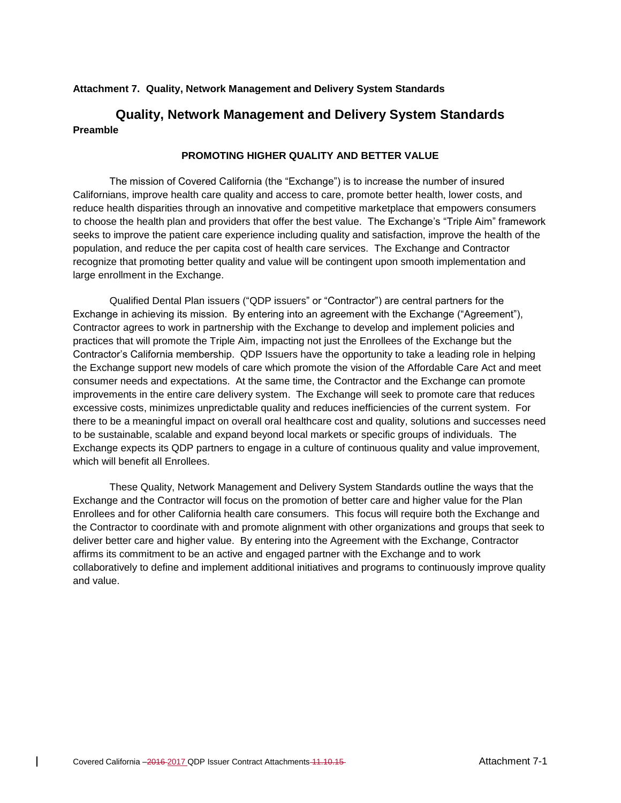#### **Attachment 7. Quality, Network Management and Delivery System Standards**

# **Quality, Network Management and Delivery System Standards Preamble**

#### **PROMOTING HIGHER QUALITY AND BETTER VALUE**

The mission of Covered California (the "Exchange") is to increase the number of insured Californians, improve health care quality and access to care, promote better health, lower costs, and reduce health disparities through an innovative and competitive marketplace that empowers consumers to choose the health plan and providers that offer the best value. The Exchange's "Triple Aim" framework seeks to improve the patient care experience including quality and satisfaction, improve the health of the population, and reduce the per capita cost of health care services. The Exchange and Contractor recognize that promoting better quality and value will be contingent upon smooth implementation and large enrollment in the Exchange.

Qualified Dental Plan issuers ("QDP issuers" or "Contractor") are central partners for the Exchange in achieving its mission. By entering into an agreement with the Exchange ("Agreement"), Contractor agrees to work in partnership with the Exchange to develop and implement policies and practices that will promote the Triple Aim, impacting not just the Enrollees of the Exchange but the Contractor's California membership. QDP Issuers have the opportunity to take a leading role in helping the Exchange support new models of care which promote the vision of the Affordable Care Act and meet consumer needs and expectations. At the same time, the Contractor and the Exchange can promote improvements in the entire care delivery system. The Exchange will seek to promote care that reduces excessive costs, minimizes unpredictable quality and reduces inefficiencies of the current system. For there to be a meaningful impact on overall oral healthcare cost and quality, solutions and successes need to be sustainable, scalable and expand beyond local markets or specific groups of individuals. The Exchange expects its QDP partners to engage in a culture of continuous quality and value improvement, which will benefit all Enrollees.

These Quality, Network Management and Delivery System Standards outline the ways that the Exchange and the Contractor will focus on the promotion of better care and higher value for the Plan Enrollees and for other California health care consumers. This focus will require both the Exchange and the Contractor to coordinate with and promote alignment with other organizations and groups that seek to deliver better care and higher value. By entering into the Agreement with the Exchange, Contractor affirms its commitment to be an active and engaged partner with the Exchange and to work collaboratively to define and implement additional initiatives and programs to continuously improve quality and value.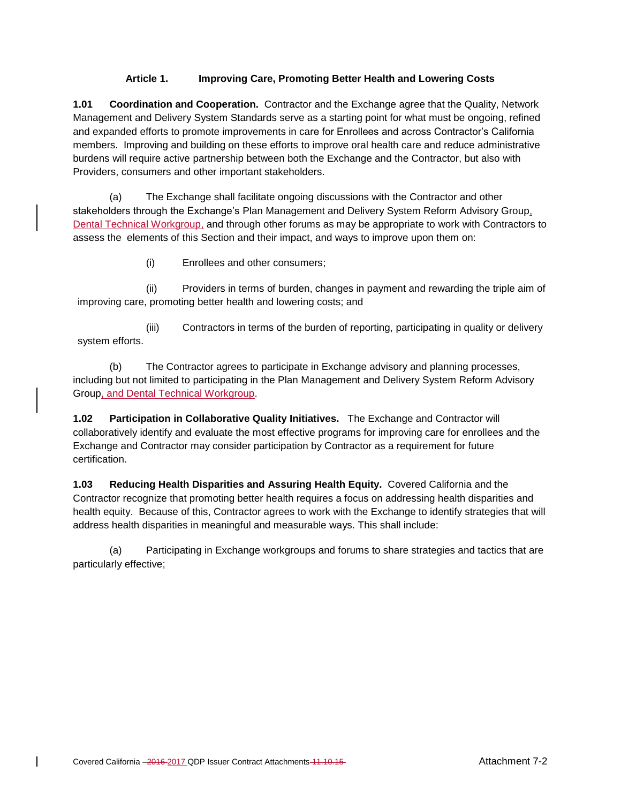# **Article 1. Improving Care, Promoting Better Health and Lowering Costs**

**1.01 Coordination and Cooperation.** Contractor and the Exchange agree that the Quality, Network Management and Delivery System Standards serve as a starting point for what must be ongoing, refined and expanded efforts to promote improvements in care for Enrollees and across Contractor's California members. Improving and building on these efforts to improve oral health care and reduce administrative burdens will require active partnership between both the Exchange and the Contractor, but also with Providers, consumers and other important stakeholders.

(a) The Exchange shall facilitate ongoing discussions with the Contractor and other stakeholders through the Exchange's Plan Management and Delivery System Reform Advisory Group, Dental Technical Workgroup, and through other forums as may be appropriate to work with Contractors to assess the elements of this Section and their impact, and ways to improve upon them on:

(i) Enrollees and other consumers;

(ii) Providers in terms of burden, changes in payment and rewarding the triple aim of improving care, promoting better health and lowering costs; and

(iii) Contractors in terms of the burden of reporting, participating in quality or delivery system efforts.

(b) The Contractor agrees to participate in Exchange advisory and planning processes, including but not limited to participating in the Plan Management and Delivery System Reform Advisory Group, and Dental Technical Workgroup.

**1.02 Participation in Collaborative Quality Initiatives.** The Exchange and Contractor will collaboratively identify and evaluate the most effective programs for improving care for enrollees and the Exchange and Contractor may consider participation by Contractor as a requirement for future certification.

**1.03 Reducing Health Disparities and Assuring Health Equity.** Covered California and the Contractor recognize that promoting better health requires a focus on addressing health disparities and health equity. Because of this, Contractor agrees to work with the Exchange to identify strategies that will address health disparities in meaningful and measurable ways. This shall include:

(a) Participating in Exchange workgroups and forums to share strategies and tactics that are particularly effective;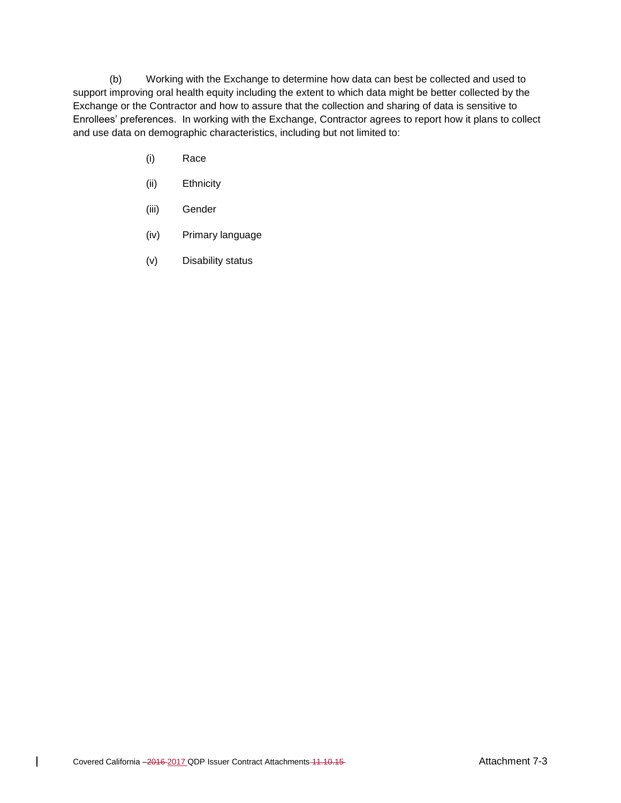(b) Working with the Exchange to determine how data can best be collected and used to support improving oral health equity including the extent to which data might be better collected by the Exchange or the Contractor and how to assure that the collection and sharing of data is sensitive to Enrollees' preferences. In working with the Exchange, Contractor agrees to report how it plans to collect and use data on demographic characteristics, including but not limited to:

- (i) Race
- (ii) Ethnicity
- (iii) Gender
- (iv) Primary language
- (v) Disability status

 $\mathbf{I}$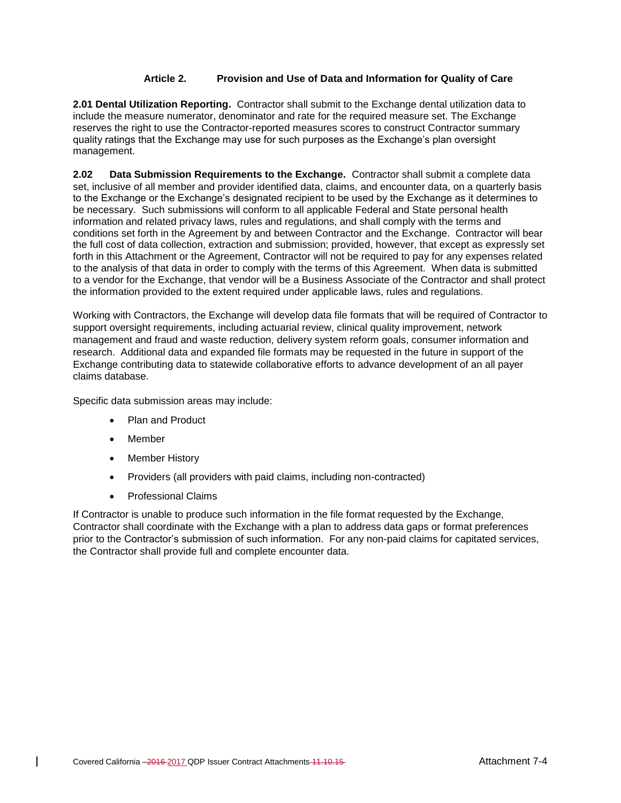# **Article 2. Provision and Use of Data and Information for Quality of Care**

**2.01 Dental Utilization Reporting.** Contractor shall submit to the Exchange dental utilization data to include the measure numerator, denominator and rate for the required measure set. The Exchange reserves the right to use the Contractor-reported measures scores to construct Contractor summary quality ratings that the Exchange may use for such purposes as the Exchange's plan oversight management.

**2.02 Data Submission Requirements to the Exchange.** Contractor shall submit a complete data set, inclusive of all member and provider identified data, claims, and encounter data, on a quarterly basis to the Exchange or the Exchange's designated recipient to be used by the Exchange as it determines to be necessary. Such submissions will conform to all applicable Federal and State personal health information and related privacy laws, rules and regulations, and shall comply with the terms and conditions set forth in the Agreement by and between Contractor and the Exchange. Contractor will bear the full cost of data collection, extraction and submission; provided, however, that except as expressly set forth in this Attachment or the Agreement, Contractor will not be required to pay for any expenses related to the analysis of that data in order to comply with the terms of this Agreement. When data is submitted to a vendor for the Exchange, that vendor will be a Business Associate of the Contractor and shall protect the information provided to the extent required under applicable laws, rules and regulations.

Working with Contractors, the Exchange will develop data file formats that will be required of Contractor to support oversight requirements, including actuarial review, clinical quality improvement, network management and fraud and waste reduction, delivery system reform goals, consumer information and research. Additional data and expanded file formats may be requested in the future in support of the Exchange contributing data to statewide collaborative efforts to advance development of an all payer claims database.

Specific data submission areas may include:

- Plan and Product
- Member
- Member History
- Providers (all providers with paid claims, including non-contracted)
- Professional Claims

If Contractor is unable to produce such information in the file format requested by the Exchange, Contractor shall coordinate with the Exchange with a plan to address data gaps or format preferences prior to the Contractor's submission of such information. For any non-paid claims for capitated services, the Contractor shall provide full and complete encounter data.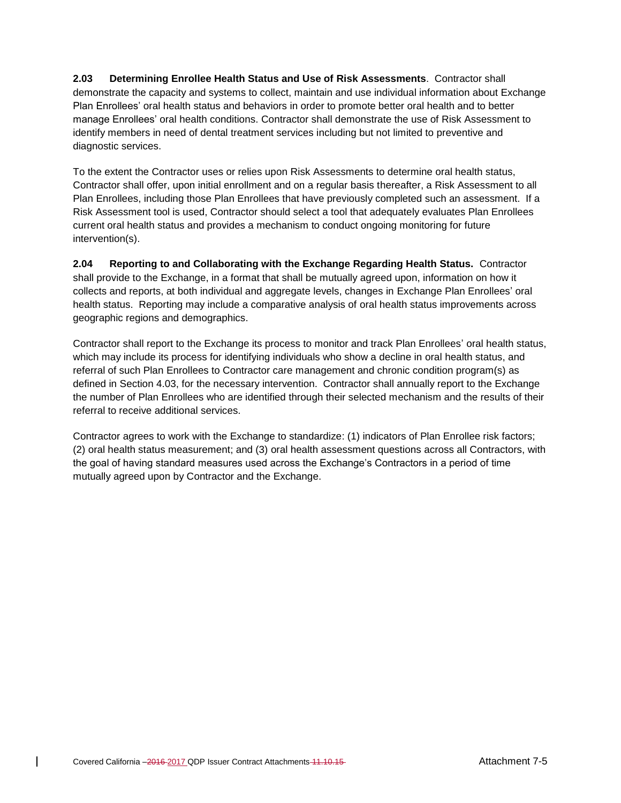**2.03 Determining Enrollee Health Status and Use of Risk Assessments**. Contractor shall demonstrate the capacity and systems to collect, maintain and use individual information about Exchange Plan Enrollees' oral health status and behaviors in order to promote better oral health and to better manage Enrollees' oral health conditions. Contractor shall demonstrate the use of Risk Assessment to identify members in need of dental treatment services including but not limited to preventive and diagnostic services.

To the extent the Contractor uses or relies upon Risk Assessments to determine oral health status, Contractor shall offer, upon initial enrollment and on a regular basis thereafter, a Risk Assessment to all Plan Enrollees, including those Plan Enrollees that have previously completed such an assessment. If a Risk Assessment tool is used, Contractor should select a tool that adequately evaluates Plan Enrollees current oral health status and provides a mechanism to conduct ongoing monitoring for future intervention(s).

**2.04 Reporting to and Collaborating with the Exchange Regarding Health Status.** Contractor shall provide to the Exchange, in a format that shall be mutually agreed upon, information on how it collects and reports, at both individual and aggregate levels, changes in Exchange Plan Enrollees' oral health status. Reporting may include a comparative analysis of oral health status improvements across geographic regions and demographics.

Contractor shall report to the Exchange its process to monitor and track Plan Enrollees' oral health status, which may include its process for identifying individuals who show a decline in oral health status, and referral of such Plan Enrollees to Contractor care management and chronic condition program(s) as defined in Section 4.03, for the necessary intervention. Contractor shall annually report to the Exchange the number of Plan Enrollees who are identified through their selected mechanism and the results of their referral to receive additional services.

Contractor agrees to work with the Exchange to standardize: (1) indicators of Plan Enrollee risk factors; (2) oral health status measurement; and (3) oral health assessment questions across all Contractors, with the goal of having standard measures used across the Exchange's Contractors in a period of time mutually agreed upon by Contractor and the Exchange.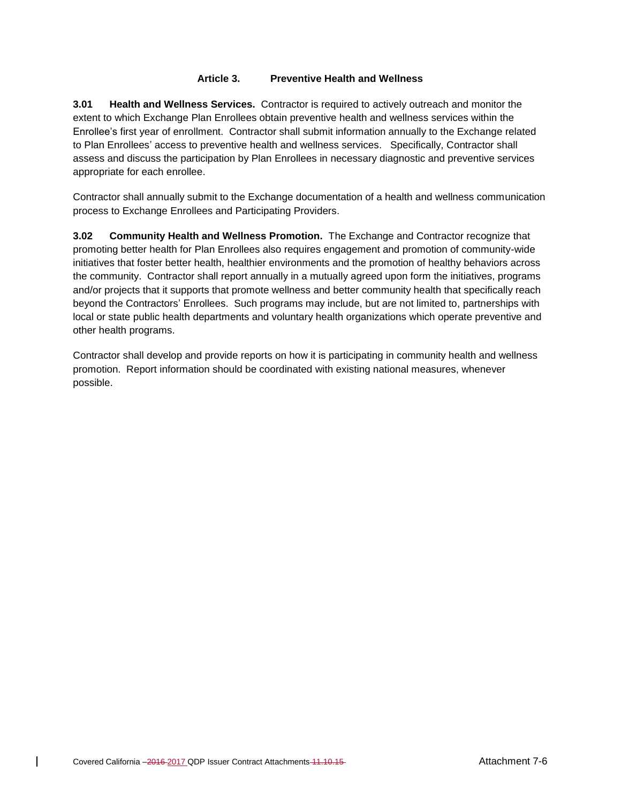# **Article 3. Preventive Health and Wellness**

**3.01 Health and Wellness Services.** Contractor is required to actively outreach and monitor the extent to which Exchange Plan Enrollees obtain preventive health and wellness services within the Enrollee's first year of enrollment. Contractor shall submit information annually to the Exchange related to Plan Enrollees' access to preventive health and wellness services. Specifically, Contractor shall assess and discuss the participation by Plan Enrollees in necessary diagnostic and preventive services appropriate for each enrollee.

Contractor shall annually submit to the Exchange documentation of a health and wellness communication process to Exchange Enrollees and Participating Providers.

**3.02 Community Health and Wellness Promotion.** The Exchange and Contractor recognize that promoting better health for Plan Enrollees also requires engagement and promotion of community-wide initiatives that foster better health, healthier environments and the promotion of healthy behaviors across the community. Contractor shall report annually in a mutually agreed upon form the initiatives, programs and/or projects that it supports that promote wellness and better community health that specifically reach beyond the Contractors' Enrollees. Such programs may include, but are not limited to, partnerships with local or state public health departments and voluntary health organizations which operate preventive and other health programs.

Contractor shall develop and provide reports on how it is participating in community health and wellness promotion. Report information should be coordinated with existing national measures, whenever possible.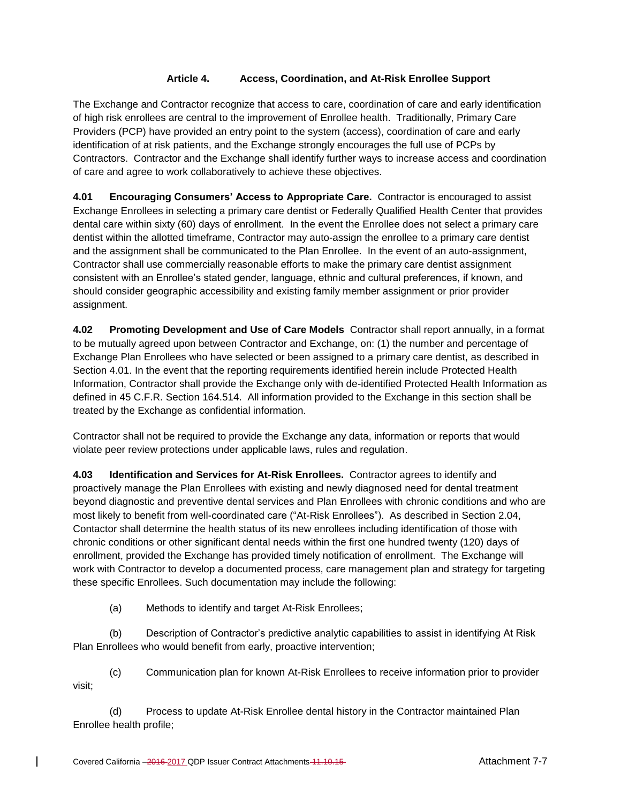# **Article 4. Access, Coordination, and At-Risk Enrollee Support**

The Exchange and Contractor recognize that access to care, coordination of care and early identification of high risk enrollees are central to the improvement of Enrollee health. Traditionally, Primary Care Providers (PCP) have provided an entry point to the system (access), coordination of care and early identification of at risk patients, and the Exchange strongly encourages the full use of PCPs by Contractors. Contractor and the Exchange shall identify further ways to increase access and coordination of care and agree to work collaboratively to achieve these objectives.

**4.01 Encouraging Consumers' Access to Appropriate Care.** Contractor is encouraged to assist Exchange Enrollees in selecting a primary care dentist or Federally Qualified Health Center that provides dental care within sixty (60) days of enrollment. In the event the Enrollee does not select a primary care dentist within the allotted timeframe, Contractor may auto-assign the enrollee to a primary care dentist and the assignment shall be communicated to the Plan Enrollee. In the event of an auto-assignment, Contractor shall use commercially reasonable efforts to make the primary care dentist assignment consistent with an Enrollee's stated gender, language, ethnic and cultural preferences, if known, and should consider geographic accessibility and existing family member assignment or prior provider assignment.

**4.02 Promoting Development and Use of Care Models** Contractor shall report annually, in a format to be mutually agreed upon between Contractor and Exchange, on: (1) the number and percentage of Exchange Plan Enrollees who have selected or been assigned to a primary care dentist, as described in Section 4.01. In the event that the reporting requirements identified herein include Protected Health Information, Contractor shall provide the Exchange only with de-identified Protected Health Information as defined in 45 C.F.R. Section 164.514. All information provided to the Exchange in this section shall be treated by the Exchange as confidential information.

Contractor shall not be required to provide the Exchange any data, information or reports that would violate peer review protections under applicable laws, rules and regulation.

**4.03 Identification and Services for At-Risk Enrollees.** Contractor agrees to identify and proactively manage the Plan Enrollees with existing and newly diagnosed need for dental treatment beyond diagnostic and preventive dental services and Plan Enrollees with chronic conditions and who are most likely to benefit from well-coordinated care ("At-Risk Enrollees"). As described in Section 2.04, Contactor shall determine the health status of its new enrollees including identification of those with chronic conditions or other significant dental needs within the first one hundred twenty (120) days of enrollment, provided the Exchange has provided timely notification of enrollment. The Exchange will work with Contractor to develop a documented process, care management plan and strategy for targeting these specific Enrollees. Such documentation may include the following:

(a) Methods to identify and target At-Risk Enrollees;

(b) Description of Contractor's predictive analytic capabilities to assist in identifying At Risk Plan Enrollees who would benefit from early, proactive intervention;

(c) Communication plan for known At-Risk Enrollees to receive information prior to provider visit;

(d) Process to update At-Risk Enrollee dental history in the Contractor maintained Plan Enrollee health profile;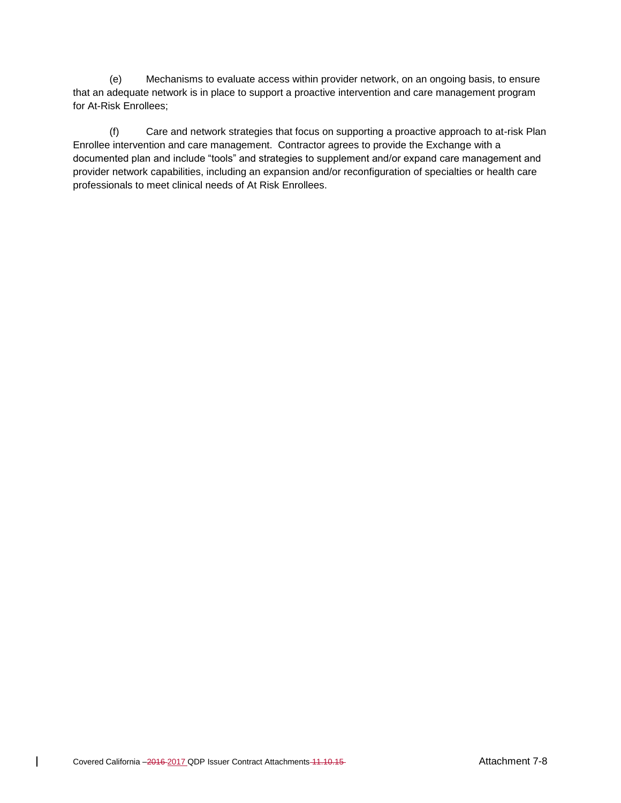(e) Mechanisms to evaluate access within provider network, on an ongoing basis, to ensure that an adequate network is in place to support a proactive intervention and care management program for At-Risk Enrollees;

(f) Care and network strategies that focus on supporting a proactive approach to at-risk Plan Enrollee intervention and care management. Contractor agrees to provide the Exchange with a documented plan and include "tools" and strategies to supplement and/or expand care management and provider network capabilities, including an expansion and/or reconfiguration of specialties or health care professionals to meet clinical needs of At Risk Enrollees.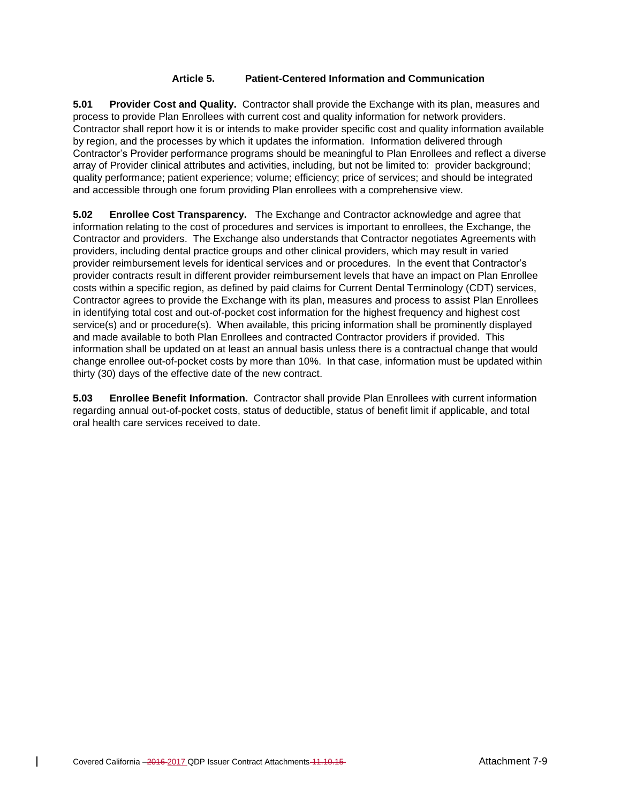# **Article 5. Patient-Centered Information and Communication**

**5.01 Provider Cost and Quality.** Contractor shall provide the Exchange with its plan, measures and process to provide Plan Enrollees with current cost and quality information for network providers. Contractor shall report how it is or intends to make provider specific cost and quality information available by region, and the processes by which it updates the information. Information delivered through Contractor's Provider performance programs should be meaningful to Plan Enrollees and reflect a diverse array of Provider clinical attributes and activities, including, but not be limited to: provider background; quality performance; patient experience; volume; efficiency; price of services; and should be integrated and accessible through one forum providing Plan enrollees with a comprehensive view.

**5.02 Enrollee Cost Transparency.** The Exchange and Contractor acknowledge and agree that information relating to the cost of procedures and services is important to enrollees, the Exchange, the Contractor and providers. The Exchange also understands that Contractor negotiates Agreements with providers, including dental practice groups and other clinical providers, which may result in varied provider reimbursement levels for identical services and or procedures. In the event that Contractor's provider contracts result in different provider reimbursement levels that have an impact on Plan Enrollee costs within a specific region, as defined by paid claims for Current Dental Terminology (CDT) services, Contractor agrees to provide the Exchange with its plan, measures and process to assist Plan Enrollees in identifying total cost and out-of-pocket cost information for the highest frequency and highest cost service(s) and or procedure(s). When available, this pricing information shall be prominently displayed and made available to both Plan Enrollees and contracted Contractor providers if provided. This information shall be updated on at least an annual basis unless there is a contractual change that would change enrollee out-of-pocket costs by more than 10%. In that case, information must be updated within thirty (30) days of the effective date of the new contract.

**5.03 Enrollee Benefit Information.** Contractor shall provide Plan Enrollees with current information regarding annual out-of-pocket costs, status of deductible, status of benefit limit if applicable, and total oral health care services received to date.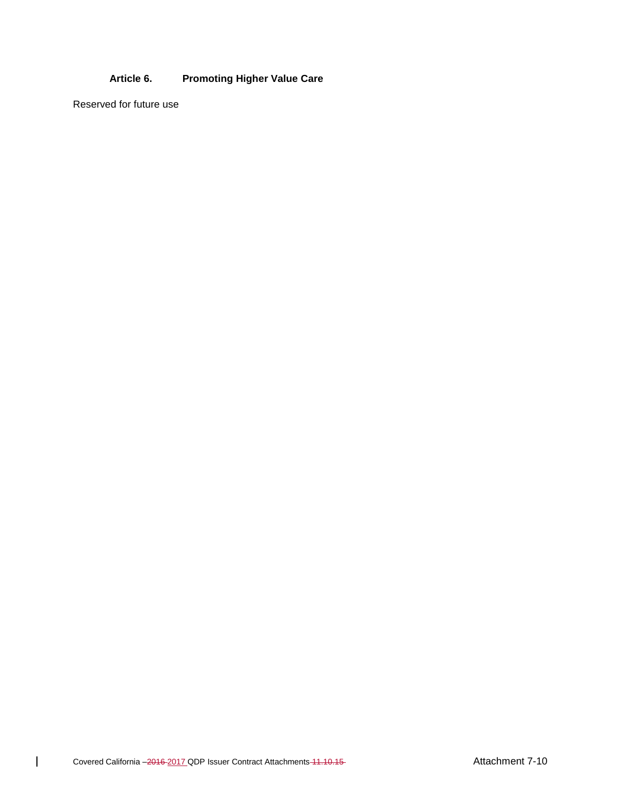# **Article 6. Promoting Higher Value Care**

Reserved for future use

 $\overline{1}$